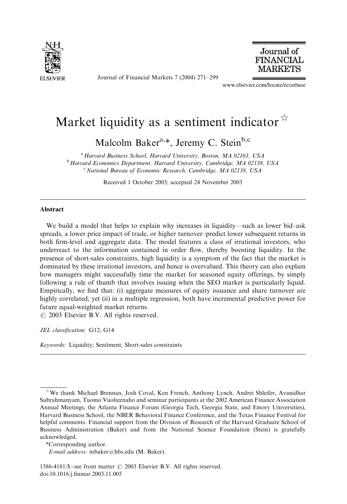

Journal of Financial Markets 7 (2004) 271–299



www.elsevier.com/locate/econbase

## Market liquidity as a sentiment indicator  $\overline{x}$

Malcolm Baker<sup>a,\*</sup>, Jeremy C. Stein<sup>b,c</sup>

<sup>a</sup> Harvard Business School, Harvard University, Boston, MA 02163, USA  $<sup>b</sup>$  Harvard Economics Department, Harvard University, Cambridge, MA 02138, USA</sup> <sup>c</sup> National Bureau of Economic Research, Cambridge, MA 02138, USA

Received 1 October 2003; accepted 24 November 2003

## **Abstract**

We build a model that helps to explain why increases in liquidity—such as lower bid–ask spreads, a lower price impact of trade, or higher turnover–predict lower subsequent returns in both firm-level and aggregate data. The model features a class of irrational investors, who underreact to the information contained in order flow, thereby boosting liquidity. In the presence of short-sales constraints, high liquidity is a symptom of the fact that the market is dominated by these irrational investors, and hence is overvalued. This theory can also explain how managers might successfully time the market for seasoned equity offerings, by simply following a rule of thumb that involves issuing when the SEO market is particularly liquid. Empirically, we find that: (i) aggregate measures of equity issuance and share turnover are highly correlated; yet (ii) in a multiple regression, both have incremental predictive power for future equal-weighted market returns.

 $\odot$  2003 Elsevier B.V. All rights reserved.

JEL classification: G12; G14

Keywords: Liquidity; Sentiment; Short-sales constraints

 $\hat{X}$ We thank Michael Brennan, Josh Coval, Ken French, Anthony Lynch, Andrei Shleifer, Avanidhar Subrahmanyam, Tuomo Vuolteenaho and seminar participants at the 2002 American Finance Association Annual Meetings, the Atlanta Finance Forum (Georgia Tech, Georgia State, and Emory Universities), Harvard Business School, the NBER Behavioral Finance Conference, and the Texas Finance Festival for helpful comments. Financial support from the Division of Research of the Harvard Graduate School of Business Administration (Baker) and from the National Science Foundation (Stein) is gratefully acknowledged.

<sup>\*</sup>Corresponding author.

E-mail address: mbaker@hbs.edu (M. Baker).

<sup>1386-4181/\$ -</sup> see front matter  $\odot$  2003 Elsevier B.V. All rights reserved. doi:10.1016/j.finmar.2003.11.005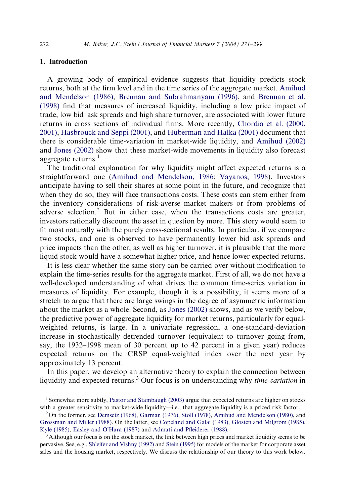## 1. Introduction

A growing body of empirical evidence suggests that liquidity predicts stock returns, both at the firm level and in the time series of the aggregate market. [Amihud](#page--1-0) [and Mendelson \(1986\),](#page--1-0) [Brennan and Subrahmanyam \(1996\),](#page--1-0) and [Brennan et al.](#page--1-0) [\(1998\)](#page--1-0) find that measures of increased liquidity, including a low price impact of trade, low bid–ask spreads and high share turnover, are associated with lower future returns in cross sections of individual firms. More recently, [Chordia et al. \(2000,](#page--1-0) [2001\)](#page--1-0), [Hasbrouck and Seppi \(2001\),](#page--1-0) and [Huberman and Halka \(2001\)](#page--1-0) document that there is considerable time-variation in market-wide liquidity, and [Amihud \(2002\)](#page--1-0) and [Jones \(2002\)](#page--1-0) show that these market-wide movements in liquidity also forecast aggregate returns. $<sup>1</sup>$ </sup>

The traditional explanation for why liquidity might affect expected returns is a straightforward one [\(Amihud and Mendelson, 1986](#page--1-0); [Vayanos, 1998\)](#page--1-0). Investors anticipate having to sell their shares at some point in the future, and recognize that when they do so, they will face transactions costs. These costs can stem either from the inventory considerations of risk-averse market makers or from problems of adverse selection. $2$  But in either case, when the transactions costs are greater, investors rationally discount the asset in question by more. This story would seem to fit most naturally with the purely cross-sectional results. In particular, if we compare two stocks, and one is observed to have permanently lower bid–ask spreads and price impacts than the other, as well as higher turnover, it is plausible that the more liquid stock would have a somewhat higher price, and hence lower expected returns.

It is less clear whether the same story can be carried over without modification to explain the time-series results for the aggregate market. First of all, we do not have a well-developed understanding of what drives the common time-series variation in measures of liquidity. For example, though it is a possibility, it seems more of a stretch to argue that there are large swings in the degree of asymmetric information about the market as a whole. Second, as [Jones \(2002\)](#page--1-0) shows, and as we verify below, the predictive power of aggregate liquidity for market returns, particularly for equalweighted returns, is large. In a univariate regression, a one-standard-deviation increase in stochastically detrended turnover (equivalent to turnover going from, say, the 1932–1998 mean of 30 percent up to 42 percent in a given year) reduces expected returns on the CRSP equal-weighted index over the next year by approximately 13 percent.

In this paper, we develop an alternative theory to explain the connection between liquidity and expected returns.<sup>3</sup> Our focus is on understanding why *time-variation* in

<sup>&</sup>lt;sup>1</sup> Somewhat more subtly, [Pastor and Stambaugh \(2003\)](#page--1-0) argue that expected returns are higher on stocks with a greater sensitivity to market-wide liquidity—i.e., that aggregate liquidity is a priced risk factor.

 $2$ On the former, see [Demsetz \(1968\)](#page--1-0), [Garman \(1976\),](#page--1-0) [Stoll \(1978\)](#page--1-0), [Amihud and Mendelson \(1980\)](#page--1-0), and [Grossman and Miller \(1988\).](#page--1-0) On the latter, see [Copeland and Galai \(1983\)](#page--1-0), [Glosten and Milgrom \(1985\)](#page--1-0), [Kyle \(1985\),](#page--1-0) [Easley and O'Hara \(1987\)](#page--1-0) and [Admati and Pfleiderer \(1988\)](#page--1-0).

<sup>&</sup>lt;sup>3</sup> Although our focus is on the stock market, the link between high prices and market liquidity seems to be pervasive. See, e.g., [Shleifer and Vishny \(1992\)](#page--1-0) and [Stein \(1995\)](#page--1-0) for models of the market for corporate asset sales and the housing market, respectively. We discuss the relationship of our theory to this work below.